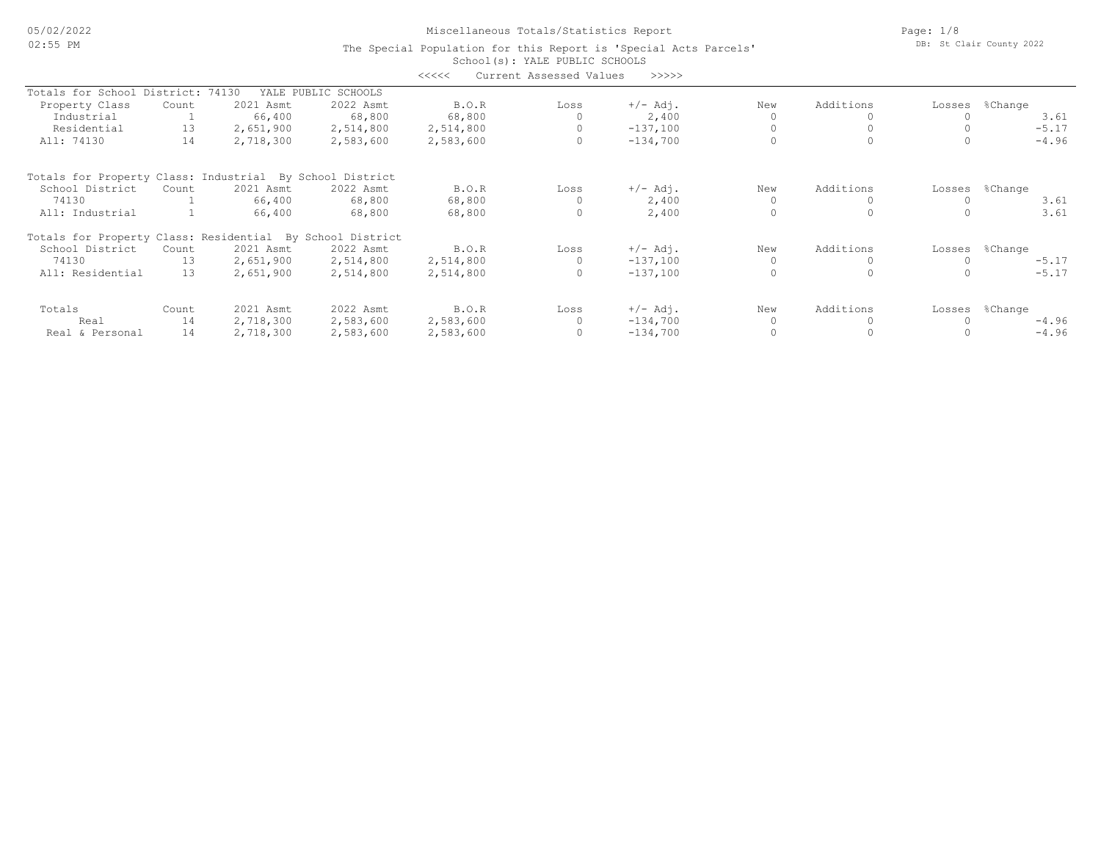# Miscellaneous Totals/Statistics Report

Page: 1/8 DB: St Clair County 2022

|                                                           |           |           |                     | <<<<      | Current Assessed Values | >>>>>      |     |           |        |                |
|-----------------------------------------------------------|-----------|-----------|---------------------|-----------|-------------------------|------------|-----|-----------|--------|----------------|
| Totals for School                                         | District: | 74130     | YALE PUBLIC SCHOOLS |           |                         |            |     |           |        |                |
| Property Class                                            | Count     | 2021 Asmt | 2022 Asmt           | B.O.R     | Loss                    | $+/-$ Adj. | New | Additions | Losses | %Change        |
| Industrial                                                |           | 66,400    | 68,800              | 68,800    |                         | 2,400      |     |           |        | 3.61           |
| Residential                                               | 13        | 2,651,900 | 2,514,800           | 2,514,800 |                         | $-137,100$ |     |           |        | $-5.17$        |
| All: 74130                                                | 14        | 2,718,300 | 2,583,600           | 2,583,600 | $\circ$                 | $-134,700$ |     |           |        | $-4.96$        |
| Totals for Property Class: Industrial By School District  |           |           |                     |           |                         |            |     |           |        |                |
| School District                                           | Count     | 2021 Asmt | 2022 Asmt           | B.O.R     | Loss                    | $+/-$ Adj. | New | Additions |        | Losses %Change |
| 74130                                                     |           | 66,400    | 68,800              | 68,800    |                         | 2,400      |     |           |        | 3.61           |
| All: Industrial                                           |           | 66,400    | 68,800              | 68,800    | $\circ$                 | 2,400      |     |           |        | 3.61           |
| Totals for Property Class: Residential By School District |           |           |                     |           |                         |            |     |           |        |                |
| School District                                           | Count     | 2021 Asmt | 2022 Asmt           | B.O.R     | Loss                    | $+/-$ Adj. | New | Additions | Losses | %Change        |
| 74130                                                     | 13        | 2,651,900 | 2,514,800           | 2,514,800 |                         | $-137,100$ |     |           |        | $-5.17$        |
| All: Residential                                          | 13        | 2,651,900 | 2,514,800           | 2,514,800 |                         | $-137,100$ |     |           |        | $-5.17$        |
| Totals                                                    | Count     | 2021 Asmt | 2022 Asmt           | B.O.R     | Loss                    | $+/-$ Adj. | New | Additions | Losses | %Change        |
| Real                                                      | 14        | 2,718,300 | 2,583,600           | 2,583,600 |                         | $-134,700$ |     |           |        | $-4.96$        |
| Real & Personal                                           | 14        | 2,718,300 | 2,583,600           | 2,583,600 |                         | $-134,700$ |     |           |        | $-4.96$        |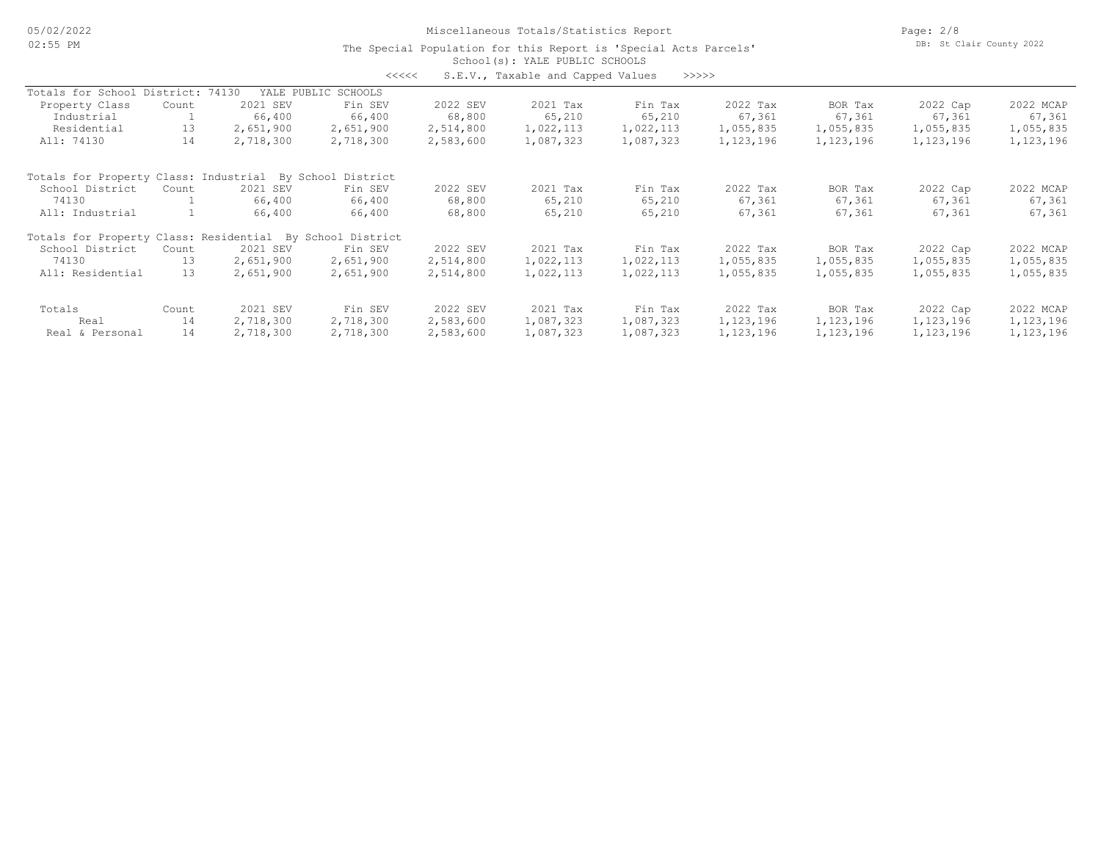05/02/2022 02:55 PM

# Miscellaneous Totals/Statistics Report

Page: 2/8 DB: St Clair County 2022

| くくくくく | S.E.V., Taxable and Capped Values |  |  |  | >>>>> |
|-------|-----------------------------------|--|--|--|-------|
|-------|-----------------------------------|--|--|--|-------|

| Totals for School District: 74130                         |       |           | YALE PUBLIC SCHOOLS |           |           |           |             |           |             |             |
|-----------------------------------------------------------|-------|-----------|---------------------|-----------|-----------|-----------|-------------|-----------|-------------|-------------|
| Property Class                                            | Count | 2021 SEV  | Fin SEV             | 2022 SEV  | 2021 Tax  | Fin Tax   | 2022 Tax    | BOR Tax   | 2022 Cap    | 2022 MCAP   |
| Industrial                                                |       | 66,400    | 66,400              | 68,800    | 65,210    | 65,210    | 67,361      | 67,361    | 67,361      | 67,361      |
| Residential                                               | 13    | 2,651,900 | 2,651,900           | 2,514,800 | 1,022,113 | 1,022,113 | 1,055,835   | 1,055,835 | 1,055,835   | 1,055,835   |
| All: 74130                                                | 14    | 2,718,300 | 2,718,300           | 2,583,600 | 1,087,323 | 1,087,323 | 1, 123, 196 | 1,123,196 | 1,123,196   | 1,123,196   |
| Totals for Property Class: Industrial                     |       |           | By School District  |           |           |           |             |           |             |             |
| School District                                           | Count | 2021 SEV  | Fin SEV             | 2022 SEV  | 2021 Tax  | Fin Tax   | 2022 Tax    | BOR Tax   | 2022 Cap    | 2022 MCAP   |
| 74130                                                     |       | 66,400    | 66,400              | 68,800    | 65,210    | 65,210    | 67,361      | 67,361    | 67,361      | 67,361      |
| All: Industrial                                           |       | 66,400    | 66,400              | 68,800    | 65,210    | 65,210    | 67,361      | 67,361    | 67,361      | 67,361      |
| Totals for Property Class: Residential By School District |       |           |                     |           |           |           |             |           |             |             |
| School District                                           | Count | 2021 SEV  | Fin SEV             | 2022 SEV  | 2021 Tax  | Fin Tax   | 2022 Tax    | BOR Tax   | 2022 Cap    | 2022 MCAP   |
| 74130                                                     | 13    | 2,651,900 | 2,651,900           | 2,514,800 | 1,022,113 | 1,022,113 | 1,055,835   | 1,055,835 | 1,055,835   | 1,055,835   |
| All: Residential                                          | 13    | 2,651,900 | 2,651,900           | 2,514,800 | 1,022,113 | 1,022,113 | 1,055,835   | 1,055,835 | 1,055,835   | 1,055,835   |
| Totals                                                    | Count | 2021 SEV  | Fin SEV             | 2022 SEV  | 2021 Tax  | Fin Tax   | 2022 Tax    | BOR Tax   | 2022 Cap    | 2022 MCAP   |
| Real                                                      | 14    | 2,718,300 | 2,718,300           | 2,583,600 | 1,087,323 | 1,087,323 | 1, 123, 196 | 1,123,196 | 1, 123, 196 | 1, 123, 196 |
| Real & Personal                                           | 14    | 2,718,300 | 2,718,300           | 2,583,600 | 1,087,323 | 1,087,323 | 1,123,196   | 1,123,196 | 1,123,196   | 1,123,196   |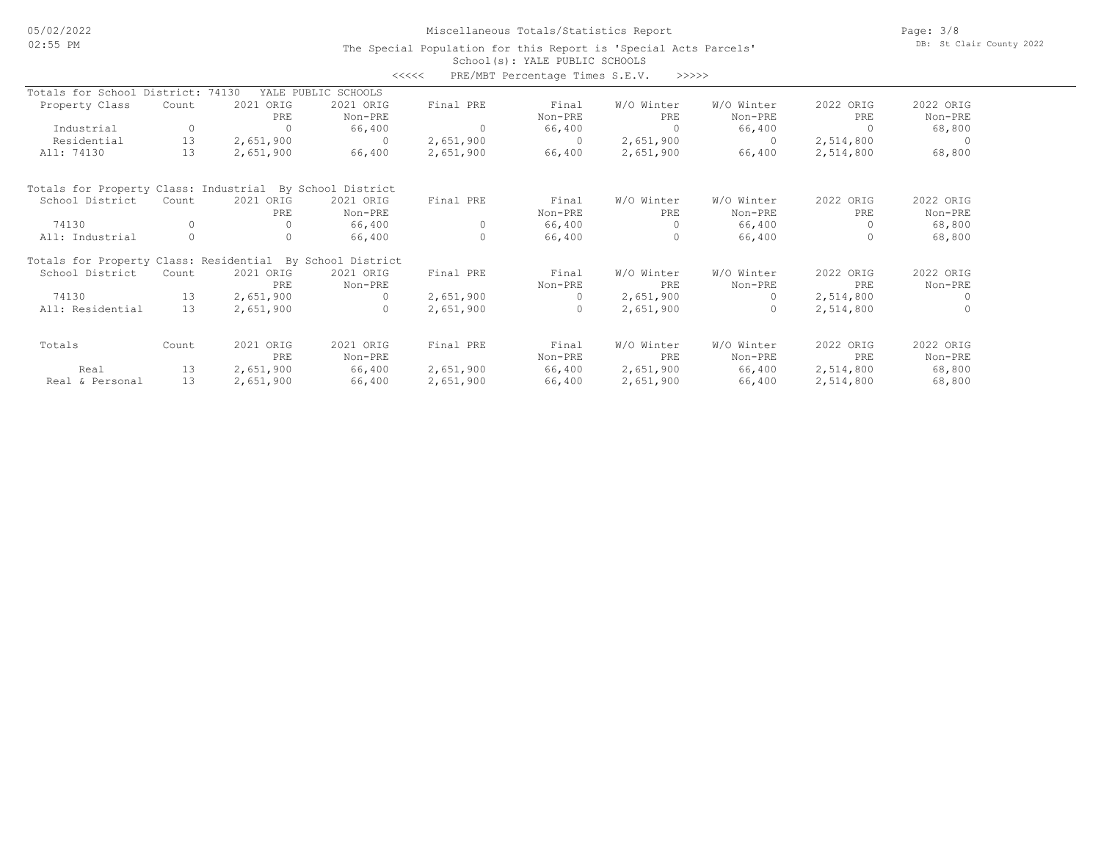## Miscellaneous Totals/Statistics Report

Page: 3/8 DB: St Clair County 2022

| Totals for School District:<br>74130<br>YALE PUBLIC SCHOOLS<br>2021 ORIG<br>2022 ORIG<br>2022 ORIG<br>Property Class<br>2021 ORIG<br>Final PRE<br>Final<br>W/O Winter<br>W/O Winter<br>Count<br>PRE<br>Non-PRE<br>Non-PRE<br>PRE<br>PRE<br>Non-PRE<br>Non-PRE<br>0<br>66,400<br>66,400<br>Industrial<br>$\Omega$<br>66,400<br>$\Omega$<br>68,800<br>0<br>13<br>Residential<br>2,651,900<br>2,651,900<br>2,651,900<br>2,514,800<br>$\Omega$<br>$\Omega$<br>$\bigcirc$<br>$\Omega$<br>13<br>All: 74130<br>2,651,900<br>2,651,900<br>2,514,800<br>66,400<br>2,651,900<br>66,400<br>66,400<br>68,800<br>Totals for Property Class: Industrial By School District<br>2021 ORIG<br>W/O Winter<br>2022 ORIG<br>2022 ORIG<br>School District<br>2021 ORIG<br>Final PRE<br>Final<br>W/O Winter<br>Count |         |     |         | >>>>> | PRE/MBT Percentage Times S.E.V. | <<<< |         |     |  |
|------------------------------------------------------------------------------------------------------------------------------------------------------------------------------------------------------------------------------------------------------------------------------------------------------------------------------------------------------------------------------------------------------------------------------------------------------------------------------------------------------------------------------------------------------------------------------------------------------------------------------------------------------------------------------------------------------------------------------------------------------------------------------------------------|---------|-----|---------|-------|---------------------------------|------|---------|-----|--|
|                                                                                                                                                                                                                                                                                                                                                                                                                                                                                                                                                                                                                                                                                                                                                                                                |         |     |         |       |                                 |      |         |     |  |
|                                                                                                                                                                                                                                                                                                                                                                                                                                                                                                                                                                                                                                                                                                                                                                                                |         |     |         |       |                                 |      |         |     |  |
|                                                                                                                                                                                                                                                                                                                                                                                                                                                                                                                                                                                                                                                                                                                                                                                                |         |     |         |       |                                 |      |         |     |  |
|                                                                                                                                                                                                                                                                                                                                                                                                                                                                                                                                                                                                                                                                                                                                                                                                |         |     |         |       |                                 |      |         |     |  |
|                                                                                                                                                                                                                                                                                                                                                                                                                                                                                                                                                                                                                                                                                                                                                                                                |         |     |         |       |                                 |      |         |     |  |
|                                                                                                                                                                                                                                                                                                                                                                                                                                                                                                                                                                                                                                                                                                                                                                                                |         |     |         |       |                                 |      |         |     |  |
|                                                                                                                                                                                                                                                                                                                                                                                                                                                                                                                                                                                                                                                                                                                                                                                                |         |     |         |       |                                 |      |         |     |  |
|                                                                                                                                                                                                                                                                                                                                                                                                                                                                                                                                                                                                                                                                                                                                                                                                |         |     |         |       |                                 |      |         |     |  |
|                                                                                                                                                                                                                                                                                                                                                                                                                                                                                                                                                                                                                                                                                                                                                                                                | Non-PRE | PRE | Non-PRE | PRE   | Non-PRE                         |      | Non-PRE | PRE |  |
| 74130<br>66,400<br>$\Omega$<br>66,400<br>$\Omega$<br>66,400<br>68,800<br>0<br>0<br>$\Omega$                                                                                                                                                                                                                                                                                                                                                                                                                                                                                                                                                                                                                                                                                                    |         |     |         |       |                                 |      |         |     |  |
| $\Omega$<br>$\Omega$<br>66,400<br>66,400<br>$\Omega$<br>66,400<br>68,800<br>All: Industrial                                                                                                                                                                                                                                                                                                                                                                                                                                                                                                                                                                                                                                                                                                    |         |     |         |       |                                 |      |         |     |  |
| Totals for Property Class: Residential By School District                                                                                                                                                                                                                                                                                                                                                                                                                                                                                                                                                                                                                                                                                                                                      |         |     |         |       |                                 |      |         |     |  |
| 2021 ORIG<br>W/O Winter<br>2022 ORIG<br>2022 ORIG<br>School District<br>2021 ORIG<br>Final PRE<br>Final<br>W/O Winter<br>Count                                                                                                                                                                                                                                                                                                                                                                                                                                                                                                                                                                                                                                                                 |         |     |         |       |                                 |      |         |     |  |
| PRE<br>PRE<br>Non-PRE<br>Non-PRE<br>Non-PRE<br>PRE<br>Non-PRE                                                                                                                                                                                                                                                                                                                                                                                                                                                                                                                                                                                                                                                                                                                                  |         |     |         |       |                                 |      |         |     |  |
| 74130<br>13<br>2,651,900<br>2,651,900<br>2,651,900<br>2,514,800<br>$\cap$<br>$\Omega$<br>$\Omega$                                                                                                                                                                                                                                                                                                                                                                                                                                                                                                                                                                                                                                                                                              |         |     |         |       |                                 |      |         |     |  |
| All: Residential<br>13<br>2,651,900<br>2,651,900<br>2,514,800<br>2,651,900<br>$\Omega$<br>$\Omega$<br>$\Omega$<br>$\Omega$                                                                                                                                                                                                                                                                                                                                                                                                                                                                                                                                                                                                                                                                     |         |     |         |       |                                 |      |         |     |  |
| 2022 ORIG<br>2021 ORIG<br>2021 ORIG<br>Final PRE<br>Final<br>W/O Winter<br>W/O Winter<br>2022 ORIG<br>Totals<br>Count                                                                                                                                                                                                                                                                                                                                                                                                                                                                                                                                                                                                                                                                          |         |     |         |       |                                 |      |         |     |  |
| Non-PRE<br>PRE<br>PRE<br>Non-PRE<br>Non-PRE<br>PRE<br>Non-PRE                                                                                                                                                                                                                                                                                                                                                                                                                                                                                                                                                                                                                                                                                                                                  |         |     |         |       |                                 |      |         |     |  |
| 13<br>2,651,900<br>66,400<br>2,651,900<br>66,400<br>2,651,900<br>66,400<br>2,514,800<br>68,800<br>Real                                                                                                                                                                                                                                                                                                                                                                                                                                                                                                                                                                                                                                                                                         |         |     |         |       |                                 |      |         |     |  |
| 13<br>66,400<br>66,400<br>66,400<br>68,800<br>Real & Personal<br>2,651,900<br>2,651,900<br>2,651,900<br>2,514,800                                                                                                                                                                                                                                                                                                                                                                                                                                                                                                                                                                                                                                                                              |         |     |         |       |                                 |      |         |     |  |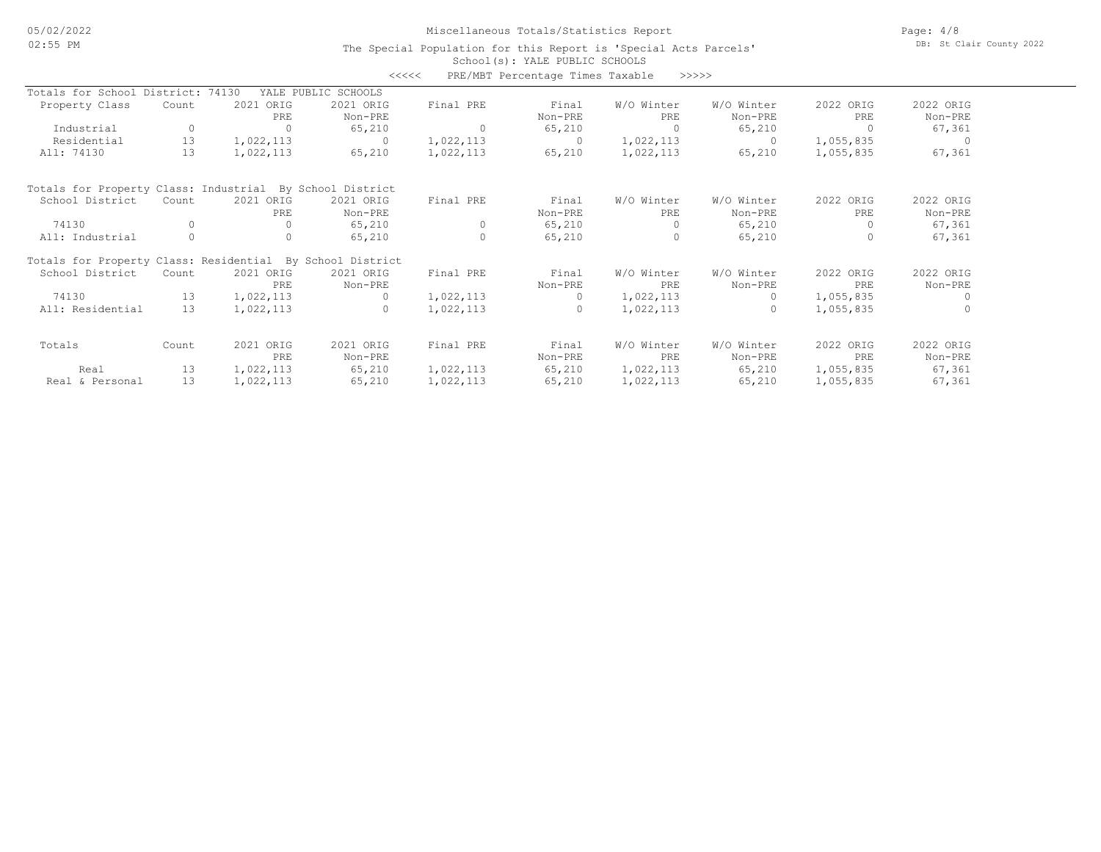## Miscellaneous Totals/Statistics Report

Page: 4/8 DB: St Clair County 2022

|                                                           |          |           | <<<<                |           | PRE/MBT Percentage Times Taxable | >>>>>      |            |           |            |
|-----------------------------------------------------------|----------|-----------|---------------------|-----------|----------------------------------|------------|------------|-----------|------------|
| Totals for School District: 74130                         |          |           | YALE PUBLIC SCHOOLS |           |                                  |            |            |           |            |
| Property Class                                            | Count    | 2021 ORIG | 2021 ORIG           | Final PRE | Final                            | W/O Winter | W/O Winter | 2022 ORIG | 2022 ORIG  |
|                                                           |          | PRE       | Non-PRE             |           | Non-PRE                          | PRE        | Non-PRE    | PRE       | Non-PRE    |
| Industrial                                                | $\circ$  | $\Omega$  | 65,210              | $\Omega$  | 65,210                           | $\Omega$   | 65,210     | $\Omega$  | 67,361     |
| Residential                                               | 13       | 1,022,113 | $\circ$             | 1,022,113 | $\circ$                          | 1,022,113  | $\Omega$   | 1,055,835 | $\bigcirc$ |
| All: 74130                                                | 13       | 1,022,113 | 65,210              | 1,022,113 | 65,210                           | 1,022,113  | 65,210     | 1,055,835 | 67,361     |
| Totals for Property Class: Industrial By School District  |          |           |                     |           |                                  |            |            |           |            |
| School District                                           | Count    | 2021 ORIG | 2021 ORIG           | Final PRE | Final                            | W/O Winter | W/O Winter | 2022 ORIG | 2022 ORIG  |
|                                                           |          | PRE       | Non-PRE             |           | Non-PRE                          | PRE        | Non-PRE    | PRE       | Non-PRE    |
| 74130                                                     | O        | $\bigcap$ | 65,210              | $\Omega$  | 65,210                           | $\Omega$   | 65,210     | $\Omega$  | 67,361     |
| All: Industrial                                           | $\Omega$ | $\Omega$  | 65,210              | $\Omega$  | 65,210                           | $\Omega$   | 65,210     | $\Omega$  | 67,361     |
| Totals for Property Class: Residential By School District |          |           |                     |           |                                  |            |            |           |            |
| School District                                           | Count    | 2021 ORIG | 2021 ORIG           | Final PRE | Final                            | W/O Winter | W/O Winter | 2022 ORIG | 2022 ORIG  |
|                                                           |          | PRE       | Non-PRE             |           | Non-PRE                          | PRE        | Non-PRE    | PRE       | Non-PRE    |
| 74130                                                     | 13       | 1,022,113 | $\Omega$            | 1,022,113 | $\Omega$                         | 1,022,113  | $\cap$     | 1,055,835 | $\bigcap$  |
| All: Residential                                          | 13       | 1,022,113 | $\Omega$            | 1,022,113 | $\Omega$                         | 1,022,113  | $\Omega$   | 1,055,835 | $\Omega$   |
| Totals                                                    | Count    | 2021 ORIG | 2021 ORIG           | Final PRE | Final                            | W/O Winter | W/O Winter | 2022 ORIG | 2022 ORIG  |
|                                                           |          | PRE       | Non-PRE             |           | Non-PRE                          | PRE        | Non-PRE    | PRE       | Non-PRE    |
| Real                                                      | 13       | 1,022,113 | 65,210              | 1,022,113 | 65,210                           | 1,022,113  | 65,210     | 1,055,835 | 67,361     |
| Real & Personal                                           | 13       | 1,022,113 | 65,210              | 1,022,113 | 65,210                           | 1,022,113  | 65,210     | 1,055,835 | 67,361     |
|                                                           |          |           |                     |           |                                  |            |            |           |            |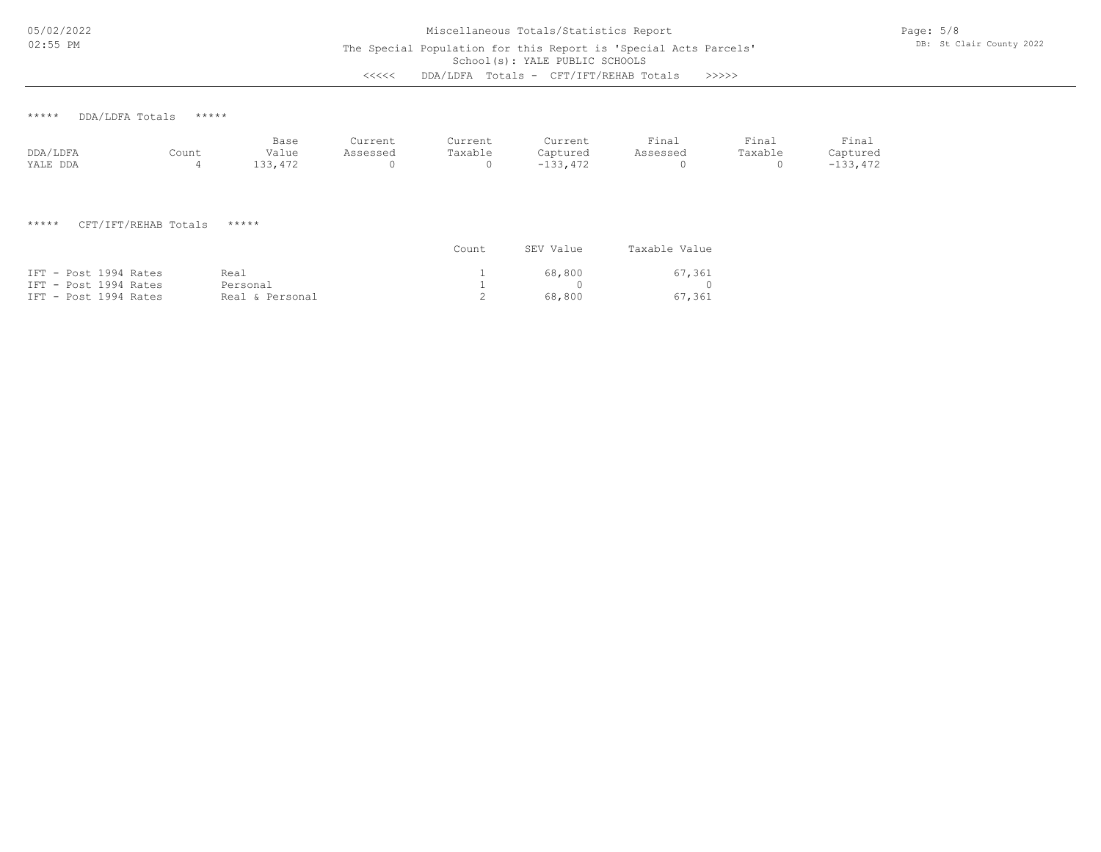<<<<< DDA/LDFA Totals - CFT/IFT/REHAB Totals >>>>>

\*\*\*\*\* DDA/LDFA Totals \*\*\*\*\*

|          |       | Base    | Current  | Current | Current         | Final    | Final   | Final      |
|----------|-------|---------|----------|---------|-----------------|----------|---------|------------|
| DDA/LDFA | Count | Value   | Assessed | Taxable | Captured        | Assessed | Taxable | Captured   |
| YALE DDA |       | 133,472 |          |         | 133,472<br>$-1$ |          |         | $-133,472$ |

\*\*\*\*\* CFT/IFT/REHAB Totals \*\*\*\*\*

|                       |                 | Count | SEV Value | Taxable Value |
|-----------------------|-----------------|-------|-----------|---------------|
| IFT - Post 1994 Rates | Real            |       | 68.800    | 67,361        |
| IFT - Post 1994 Rates | Personal        |       |           | $\cap$        |
| IFT - Post 1994 Rates | Real & Personal |       | 68.800    | 67,361        |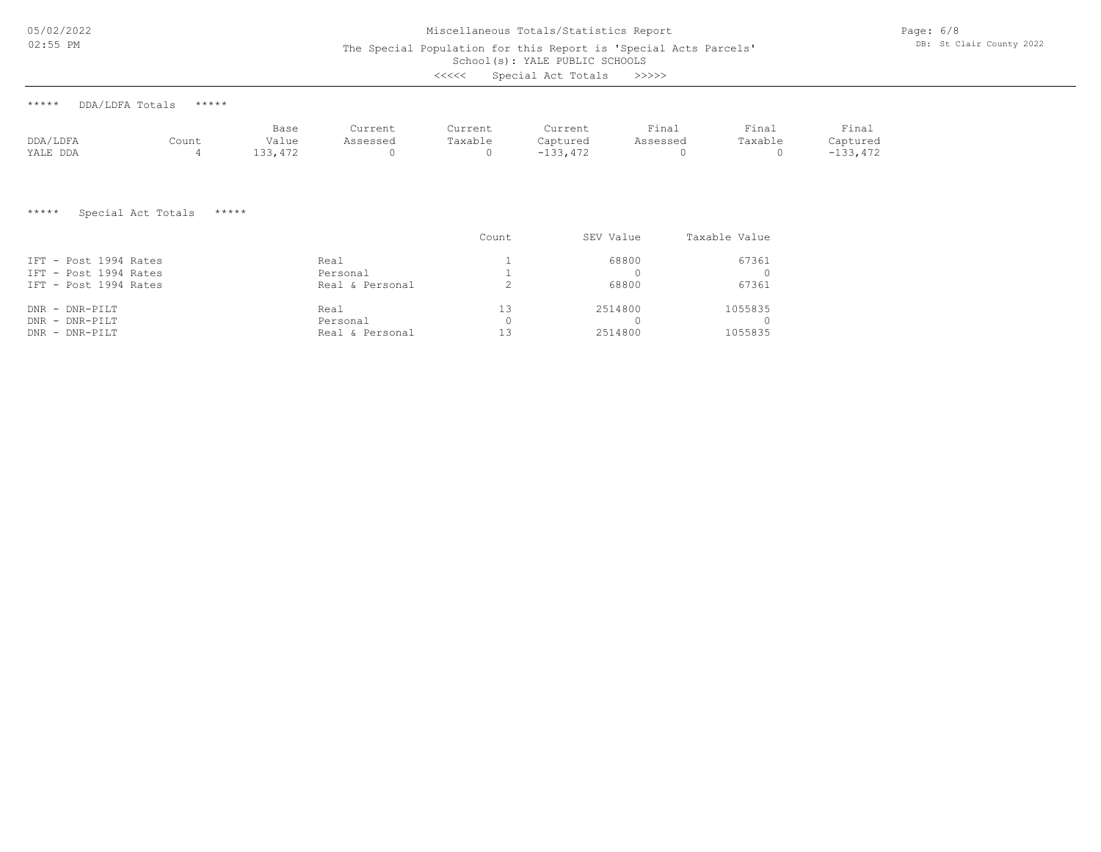05/02/2022 02:55 PM

# Miscellaneous Totals/Statistics Report

The Special Population for this Report is 'Special Acts Parcels'

School(s): YALE PUBLIC SCHOOLS

| <<<< | Special Act Totals |  |  | >>>>> |
|------|--------------------|--|--|-------|
|------|--------------------|--|--|-------|

| ***** | DDA/LDFA Totals | ***** |
|-------|-----------------|-------|
|       |                 |       |

|          |       | Base   | Current  | Current | Current    | Final    | Final   | Final    |
|----------|-------|--------|----------|---------|------------|----------|---------|----------|
| DDA/LDFA | Count | Value  | Assessed | Taxable | Captured   | Assessed | Taxable | Captured |
| YALE DDA |       | 33,472 |          |         | $-133.472$ |          |         | -133,472 |

\*\*\*\*\* Special Act Totals \*\*\*\*\*

|                       |                 | Count | SEV Value | Taxable Value |
|-----------------------|-----------------|-------|-----------|---------------|
| IFT - Post 1994 Rates | Real            |       | 68800     | 67361         |
| IFT - Post 1994 Rates | Personal        |       |           |               |
| IFT - Post 1994 Rates | Real & Personal |       | 68800     | 67361         |
| $DNR$ - $DNR-PILT$    | Real            | 1.3   | 2514800   | 1055835       |
| $DNR$ - $DNR-PILT$    | Personal        |       |           |               |
| $DNR$ - $DNR-PILT$    | Real & Personal |       | 2514800   | 1055835       |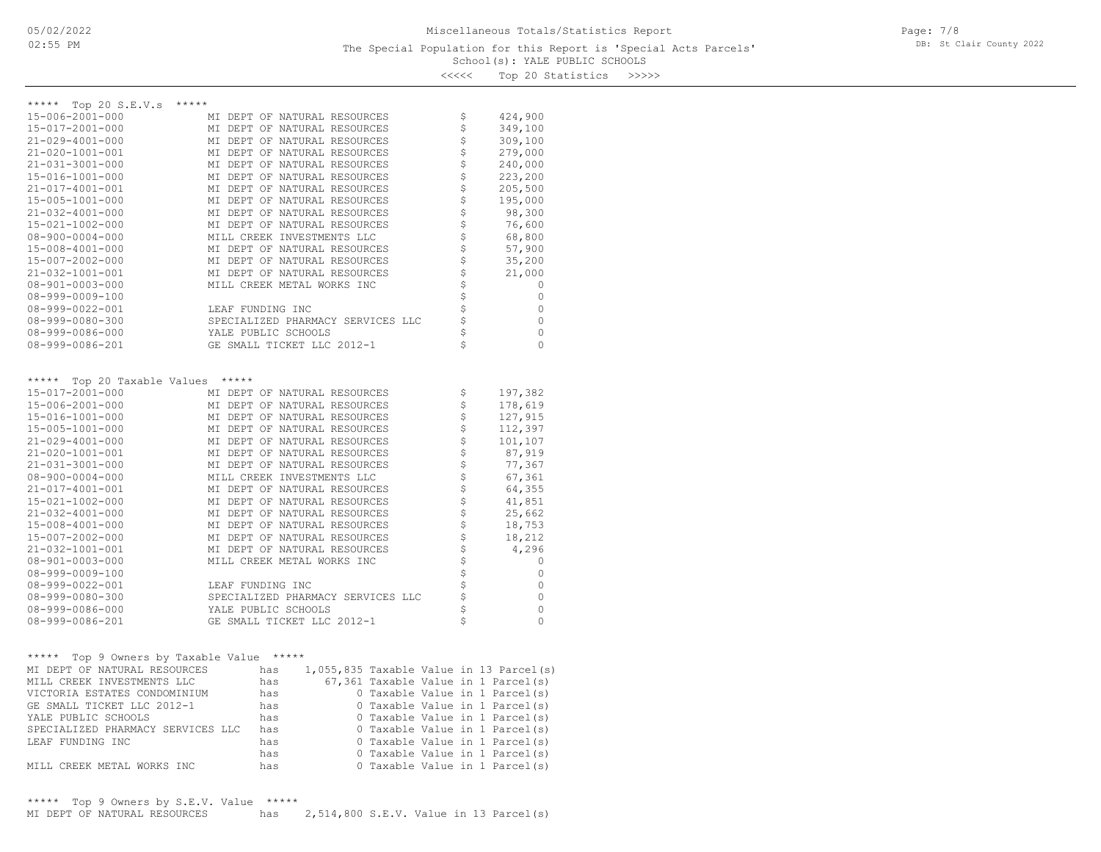### School(s): YALE PUBLIC SCHOOLS The Special Population for this Report is 'Special Acts Parcels'

Page: 7/8 DB: St Clair County 2022

<<<<< Top 20 Statistics >>>>>

| $***$ * * * *<br>Top 20 $S.E.V.s$  | *****                                                        |                   |                         |
|------------------------------------|--------------------------------------------------------------|-------------------|-------------------------|
| 15-006-2001-000                    | MI DEPT OF NATURAL RESOURCES                                 | \$                | 424,900                 |
| 15-017-2001-000                    | MI DEPT OF NATURAL RESOURCES                                 | \$                | 349,100                 |
| 21-029-4001-000                    | MI DEPT OF NATURAL RESOURCES                                 | \$                | 309,100                 |
| 21-020-1001-001                    | MI DEPT OF NATURAL RESOURCES                                 | \$                | 279,000                 |
| $21 - 031 - 3001 - 000$            | MI DEPT OF NATURAL RESOURCES                                 | \$                | 240,000                 |
| 15-016-1001-000                    | MI DEPT OF NATURAL RESOURCES                                 |                   | 223,200                 |
| 21-017-4001-001                    | MI DEPT OF NATURAL RESOURCES                                 | \$                | 205,500                 |
| 15-005-1001-000                    | MI DEPT OF NATURAL RESOURCES                                 | \$                | 195,000                 |
| $21 - 032 - 4001 - 000$            | MI DEPT OF NATURAL RESOURCES                                 | \$                | 98,300                  |
| 15-021-1002-000                    | MI DEPT OF NATURAL RESOURCES                                 |                   | 76,600                  |
| $08 - 900 - 0004 - 000$            | MILL CREEK INVESTMENTS LLC                                   | $\frac{1}{5}$     | 68,800                  |
| 15-008-4001-000                    | MI DEPT OF NATURAL RESOURCES                                 |                   | 57,900                  |
| 15-007-2002-000                    | MI DEPT OF NATURAL RESOURCES                                 | \$\$\$            | 35,200                  |
| 21-032-1001-001                    | MI DEPT OF NATURAL RESOURCES                                 |                   | 21,000                  |
| $08 - 901 - 0003 - 000$            | MILL CREEK METAL WORKS INC                                   |                   | 0                       |
| $08 - 999 - 0009 - 100$            |                                                              |                   | 0                       |
| 08-999-0022-001                    | LEAF FUNDING INC                                             | ささささ              | 0                       |
| $08 - 999 - 0080 - 300$            | SPECIALIZED PHARMACY SERVICES LLC                            |                   | $\mathbf 0$             |
| 08-999-0086-000                    | YALE PUBLIC SCHOOLS                                          |                   | $\mathbf 0$             |
| 08-999-0086-201                    | GE SMALL TICKET LLC 2012-1                                   | \$                | $\Omega$                |
|                                    |                                                              |                   |                         |
|                                    |                                                              |                   |                         |
| *****                              | *****                                                        |                   |                         |
| Top 20 Taxable Values              |                                                              |                   |                         |
| 15-017-2001-000                    | MI DEPT OF NATURAL RESOURCES                                 | \$                | 197,382                 |
| 15-006-2001-000<br>15-016-1001-000 | MI DEPT OF NATURAL RESOURCES<br>MI DEPT OF NATURAL RESOURCES | \$                | 178,619                 |
| 15-005-1001-000                    | MI DEPT OF NATURAL RESOURCES                                 | \$                | 127,915                 |
| 21-029-4001-000                    | MI DEPT OF NATURAL RESOURCES                                 | \$                | 112,397<br>101,107      |
| 21-020-1001-001                    | MI DEPT OF NATURAL RESOURCES                                 | \$                | 87,919                  |
| 21-031-3001-000                    | MI DEPT OF NATURAL RESOURCES                                 | \$                | 77,367                  |
| $08 - 900 - 0004 - 000$            | MILL CREEK INVESTMENTS LLC                                   |                   | 67,361                  |
| 21-017-4001-001                    | MI DEPT OF NATURAL RESOURCES                                 |                   | 64,355                  |
| 15-021-1002-000                    | MI DEPT OF NATURAL RESOURCES                                 | \$\$\$            | 41,851                  |
| $21 - 032 - 4001 - 000$            | MI DEPT OF NATURAL RESOURCES                                 |                   | 25,662                  |
| 15-008-4001-000                    | MI DEPT OF NATURAL RESOURCES                                 | \$                | 18,753                  |
| 15-007-2002-000                    | MI DEPT OF NATURAL RESOURCES                                 | \$                | 18,212                  |
| 21-032-1001-001                    | MI DEPT OF NATURAL RESOURCES                                 | \$                | 4,296                   |
| $08 - 901 - 0003 - 000$            | MILL CREEK METAL WORKS INC                                   |                   | 0                       |
| $08 - 999 - 0009 - 100$            |                                                              | \$                | 0                       |
| 08-999-0022-001                    | LEAF FUNDING INC                                             | $\dot{\varsigma}$ | 0                       |
| $08 - 999 - 0080 - 300$            | SPECIALIZED PHARMACY SERVICES LLC                            |                   | 0                       |
| $08 - 999 - 0086 - 000$            | YALE PUBLIC SCHOOLS                                          | \$<br>Ś           | $\mathbf 0$<br>$\Omega$ |

| *****<br>***** Top 9 Owners by Taxable Value |     |  |  |  |                                           |
|----------------------------------------------|-----|--|--|--|-------------------------------------------|
| MI DEPT OF NATURAL RESOURCES                 | has |  |  |  | $1,055,835$ Taxable Value in 13 Parcel(s) |
| MILL CREEK INVESTMENTS LLC                   | has |  |  |  | 67,361 Taxable Value in 1 Parcel(s)       |
| VICTORIA ESTATES CONDOMINIUM                 | has |  |  |  | 0 Taxable Value in 1 Parcel(s)            |
| GE SMALL TICKET LLC 2012-1                   | has |  |  |  | 0 Taxable Value in 1 Parcel(s)            |
| YALE PUBLIC SCHOOLS                          | has |  |  |  | 0 Taxable Value in 1 Parcel(s)            |
| SPECIALIZED PHARMACY SERVICES LLC            | has |  |  |  | 0 Taxable Value in 1 Parcel(s)            |
| LEAF FUNDING INC                             | has |  |  |  | 0 Taxable Value in 1 Parcel(s)            |
|                                              | has |  |  |  | 0 Taxable Value in 1 Parcel(s)            |
| MILL CREEK METAL WORKS INC                   | has |  |  |  | 0 Taxable Value in 1 Parcel(s)            |